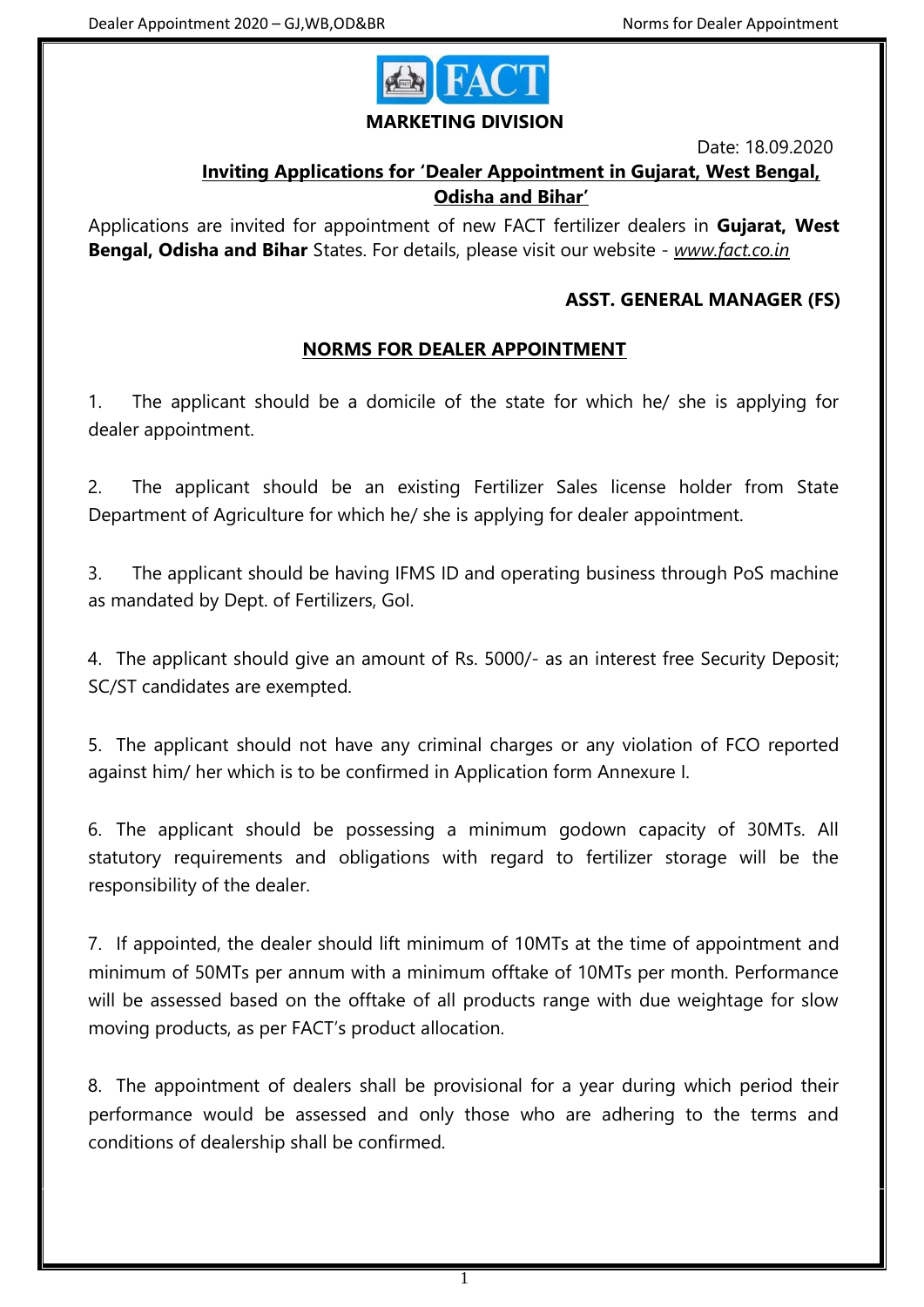

#### **MARKETING DIVISION**

Date: 18.09.2020

# **Inviting Applications for 'Dealer Appointment in Gujarat, West Bengal, Odisha and Bihar'**

Applications are invited for appointment of new FACT fertilizer dealers in **Gujarat, West Bengal, Odisha and Bihar** States. For details, please visit our website - *www.fact.co.in*

## **ASST. GENERAL MANAGER (FS)**

## **NORMS FOR DEALER APPOINTMENT**

1. The applicant should be a domicile of the state for which he/ she is applying for dealer appointment.

2. The applicant should be an existing Fertilizer Sales license holder from State Department of Agriculture for which he/ she is applying for dealer appointment.

3. The applicant should be having IFMS ID and operating business through PoS machine as mandated by Dept. of Fertilizers, GoI.

4. The applicant should give an amount of Rs. 5000/- as an interest free Security Deposit; SC/ST candidates are exempted.

5. The applicant should not have any criminal charges or any violation of FCO reported against him/ her which is to be confirmed in Application form Annexure I.

6. The applicant should be possessing a minimum godown capacity of 30MTs. All statutory requirements and obligations with regard to fertilizer storage will be the responsibility of the dealer.

7. If appointed, the dealer should lift minimum of 10MTs at the time of appointment and minimum of 50MTs per annum with a minimum offtake of 10MTs per month. Performance will be assessed based on the offtake of all products range with due weightage for slow moving products, as per FACT's product allocation.

8. The appointment of dealers shall be provisional for a year during which period their performance would be assessed and only those who are adhering to the terms and conditions of dealership shall be confirmed.

1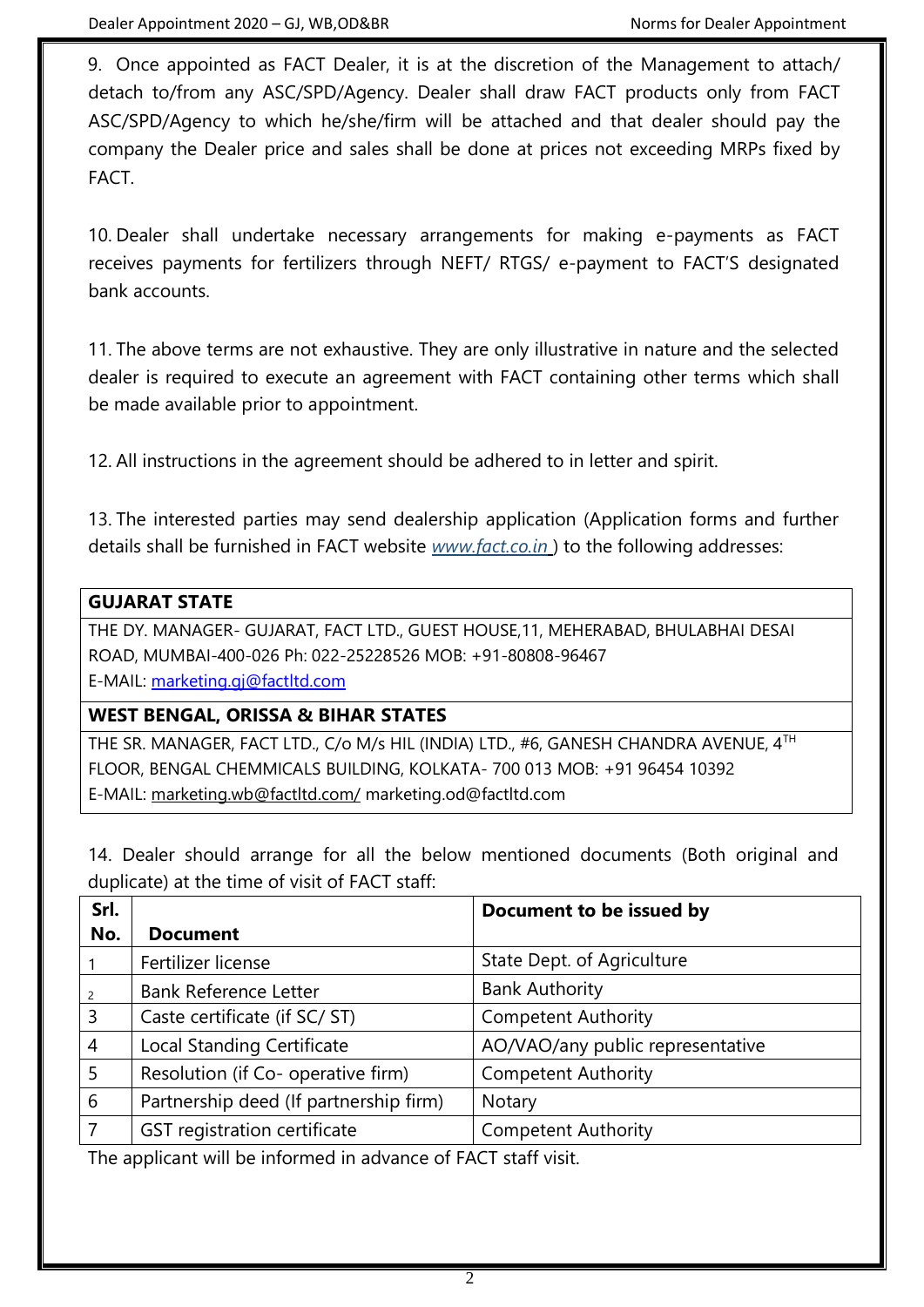9. Once appointed as FACT Dealer, it is at the discretion of the Management to attach/ detach to/from any ASC/SPD/Agency. Dealer shall draw FACT products only from FACT ASC/SPD/Agency to which he/she/firm will be attached and that dealer should pay the company the Dealer price and sales shall be done at prices not exceeding MRPs fixed by FACT.

10. Dealer shall undertake necessary arrangements for making e-payments as FACT receives payments for fertilizers through NEFT/ RTGS/ e-payment to FACT'S designated bank accounts.

11. The above terms are not exhaustive. They are only illustrative in nature and the selected dealer is required to execute an agreement with FACT containing other terms which shall be made available prior to appointment.

12. All instructions in the agreement should be adhered to in letter and spirit.

13. The interested parties may send dealership application (Application forms and further details shall be furnished in FACT website *[www.fact.co.in](http://www.fact.co.in/)* ) to the following addresses:

## **GUJARAT STATE**

THE DY. MANAGER- GUJARAT, FACT LTD., GUEST HOUSE,11, MEHERABAD, BHULABHAI DESAI ROAD, MUMBAI-400-026 Ph: 022-25228526 MOB: +91-80808-96467 E-MAIL: [marketing.gj@factltd.com](mailto:marketing.gj@factltd.com)

#### **WEST BENGAL, ORISSA & BIHAR STATES**

THE SR. MANAGER, FACT LTD., C/o M/s HIL (INDIA) LTD., #6, GANESH CHANDRA AVENUE, 4TH FLOOR, BENGAL CHEMMICALS BUILDING, KOLKATA- 700 013 MOB: +91 96454 10392 E-MAIL: [marketing.wb@factltd.com/](mailto:marketing.wb@factltd.com/) marketing.od@factltd.com

14. Dealer should arrange for all the below mentioned documents (Both original and duplicate) at the time of visit of FACT staff:

| Srl.           |                                        | Document to be issued by         |
|----------------|----------------------------------------|----------------------------------|
| No.            | <b>Document</b>                        |                                  |
|                | Fertilizer license                     | State Dept. of Agriculture       |
| $\overline{2}$ | <b>Bank Reference Letter</b>           | <b>Bank Authority</b>            |
| $\overline{3}$ | Caste certificate (if SC/ST)           | <b>Competent Authority</b>       |
| $\overline{4}$ | <b>Local Standing Certificate</b>      | AO/VAO/any public representative |
| 5              | Resolution (if Co- operative firm)     | <b>Competent Authority</b>       |
| 6              | Partnership deed (If partnership firm) | Notary                           |
|                | GST registration certificate           | <b>Competent Authority</b>       |

The applicant will be informed in advance of FACT staff visit.